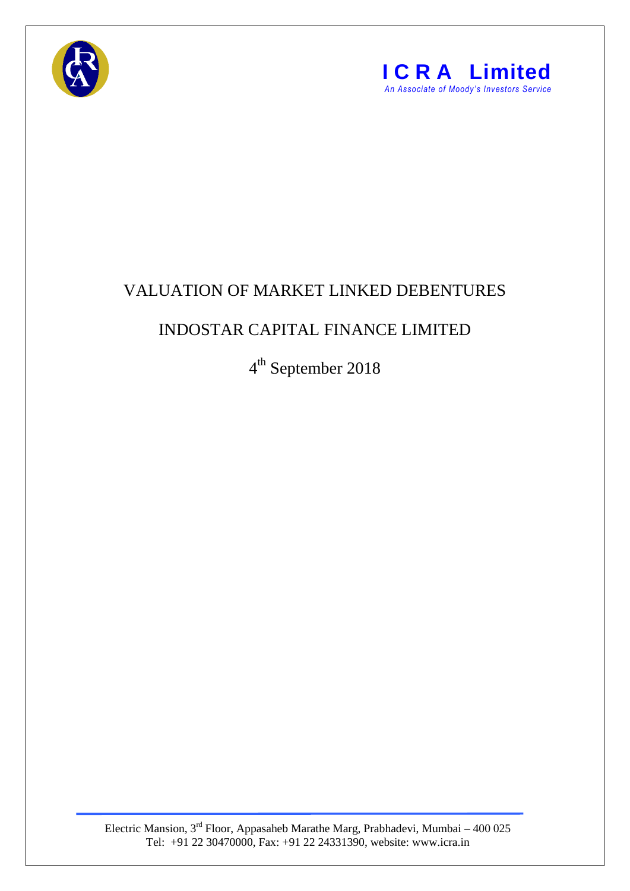



## VALUATION OF MARKET LINKED DEBENTURES

## INDOSTAR CAPITAL FINANCE LIMITED

4<sup>th</sup> September 2018